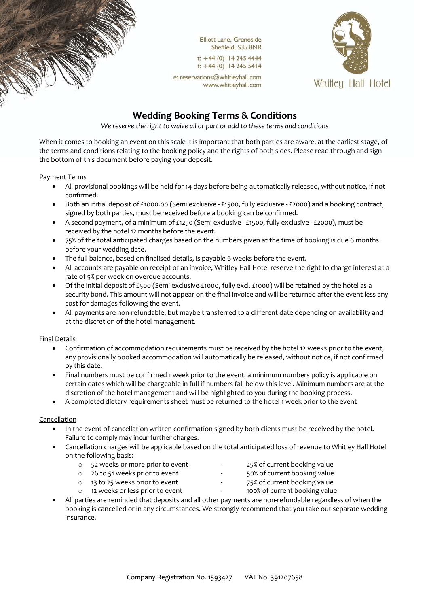

t:  $+44(0)$ | | 4 245 4444  $f: +44(0)1142455414$ 

e: reservations@whitleyhall.com www.whitleyhall.com



# **Wedding Booking Terms & Conditions**

*We reserve the right to waive all or part or add to these terms and conditions*

When it comes to booking an event on this scale it is important that both parties are aware, at the earliest stage, of the terms and conditions relating to the booking policy and the rights of both sides. Please read through and sign the bottom of this document before paying your deposit.

### Payment Terms

- All provisional bookings will be held for 14 days before being automatically released, without notice, if not confirmed.
- Both an initial deposit of £1000.00 (Semi exclusive £1500, fully exclusive £2000) and a booking contract, signed by both parties, must be received before a booking can be confirmed.
- A second payment, of a minimum of £1250 (Semi exclusive £1500, fully exclusive £2000), must be received by the hotel 12 months before the event.
- 75% of the total anticipated charges based on the numbers given at the time of booking is due 6 months before your wedding date.
- The full balance, based on finalised details, is payable 6 weeks before the event.
- All accounts are payable on receipt of an invoice, Whitley Hall Hotel reserve the right to charge interest at a rate of 5% per week on overdue accounts.
- Of the initial deposit of £500 (Semi exclusive-£1000, fully excl. £1000) will be retained by the hotel as a security bond. This amount will not appear on the final invoice and will be returned after the event less any cost for damages following the event.
- All payments are non-refundable, but maybe transferred to a different date depending on availability and at the discretion of the hotel management.

#### Final Details

- Confirmation of accommodation requirements must be received by the hotel 12 weeks prior to the event, any provisionally booked accommodation will automatically be released, without notice, if not confirmed by this date.
- Final numbers must be confirmed 1 week prior to the event; a minimum numbers policy is applicable on certain dates which will be chargeable in full if numbers fall below this level. Minimum numbers are at the discretion of the hotel management and will be highlighted to you during the booking process.
- A completed dietary requirements sheet must be returned to the hotel 1 week prior to the event

## Cancellation

- In the event of cancellation written confirmation signed by both clients must be received by the hotel. Failure to comply may incur further charges.
- Cancellation charges will be applicable based on the total anticipated loss of revenue to Whitley Hall Hotel on the following basis:
	- o 52 weeks or more prior to event 25% of current booking value
- - o 26 to 51 weeks prior to event 50% of current booking value
		-
	- o 13 to 25 weeks prior to event 75% of current booking value
	- o 12 weeks or less prior to event 100% of current booking value
- All parties are reminded that deposits and all other payments are non-refundable regardless of when the booking is cancelled or in any circumstances. We strongly recommend that you take out separate wedding insurance.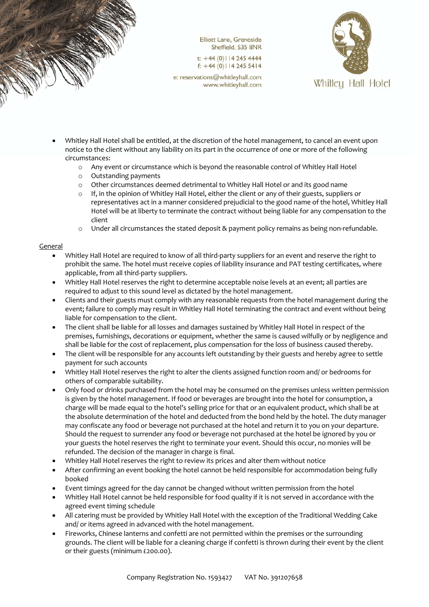

t:  $+44(0)$ | | 4 245 4444  $f: +44(0)1142455414$ 

e: reservations@whitleyhall.com www.whitleyhall.com



- Whitley Hall Hotel shall be entitled, at the discretion of the hotel management, to cancel an event upon notice to the client without any liability on its part in the occurrence of one or more of the following circumstances:
	- o Any event or circumstance which is beyond the reasonable control of Whitley Hall Hotel
	- o Outstanding payments
	- o Other circumstances deemed detrimental to Whitley Hall Hotel or and its good name
	- $\circ$  If, in the opinion of Whitley Hall Hotel, either the client or any of their guests, suppliers or representatives act in a manner considered prejudicial to the good name of the hotel, Whitley Hall Hotel will be at liberty to terminate the contract without being liable for any compensation to the client
	- $\circ$  Under all circumstances the stated deposit & payment policy remains as being non-refundable.

## **General**

- Whitley Hall Hotel are required to know of all third-party suppliers for an event and reserve the right to prohibit the same. The hotel must receive copies of liability insurance and PAT testing certificates, where applicable, from all third-party suppliers.
- Whitley Hall Hotel reserves the right to determine acceptable noise levels at an event; all parties are required to adjust to this sound level as dictated by the hotel management.
- Clients and their guests must comply with any reasonable requests from the hotel management during the event; failure to comply may result in Whitley Hall Hotel terminating the contract and event without being liable for compensation to the client.
- The client shall be liable for all losses and damages sustained by Whitley Hall Hotel in respect of the premises, furnishings, decorations or equipment, whether the same is caused wilfully or by negligence and shall be liable for the cost of replacement, plus compensation for the loss of business caused thereby.
- The client will be responsible for any accounts left outstanding by their guests and hereby agree to settle payment for such accounts
- Whitley Hall Hotel reserves the right to alter the clients assigned function room and/ or bedrooms for others of comparable suitability.
- Only food or drinks purchased from the hotel may be consumed on the premises unless written permission is given by the hotel management. If food or beverages are brought into the hotel for consumption, a charge will be made equal to the hotel's selling price for that or an equivalent product, which shall be at the absolute determination of the hotel and deducted from the bond held by the hotel. The duty manager may confiscate any food or beverage not purchased at the hotel and return it to you on your departure. Should the request to surrender any food or beverage not purchased at the hotel be ignored by you or your guests the hotel reserves the right to terminate your event. Should this occur, no monies will be refunded. The decision of the manager in charge is final.
- Whitley Hall Hotel reserves the right to review its prices and alter them without notice
- After confirming an event booking the hotel cannot be held responsible for accommodation being fully booked
- Event timings agreed for the day cannot be changed without written permission from the hotel
- Whitley Hall Hotel cannot be held responsible for food quality if it is not served in accordance with the agreed event timing schedule
- All catering must be provided by Whitley Hall Hotel with the exception of the Traditional Wedding Cake and/ or items agreed in advanced with the hotel management.
- Fireworks, Chinese lanterns and confetti are not permitted within the premises or the surrounding grounds. The client will be liable for a cleaning charge if confetti is thrown during their event by the client or their guests (minimum £200.00).